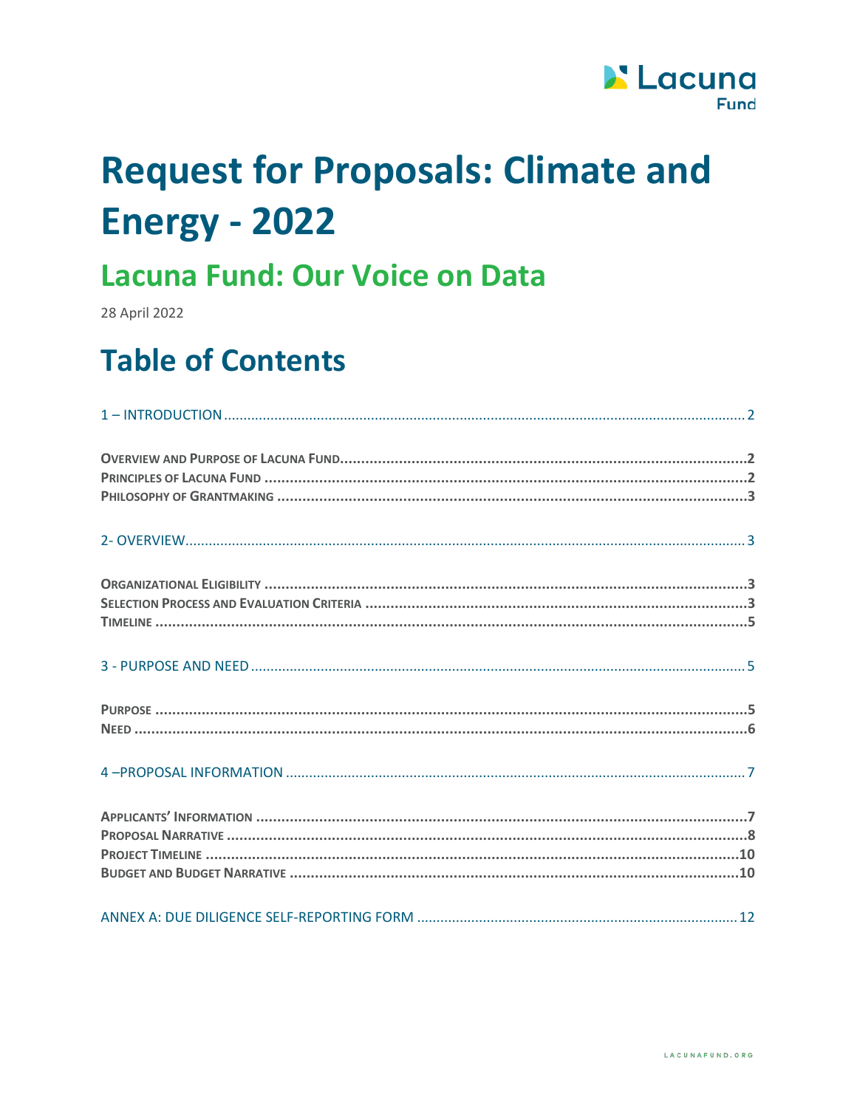

# **Request for Proposals: Climate and Energy - 2022**

## **Lacuna Fund: Our Voice on Data**

28 April 2022

## **Table of Contents**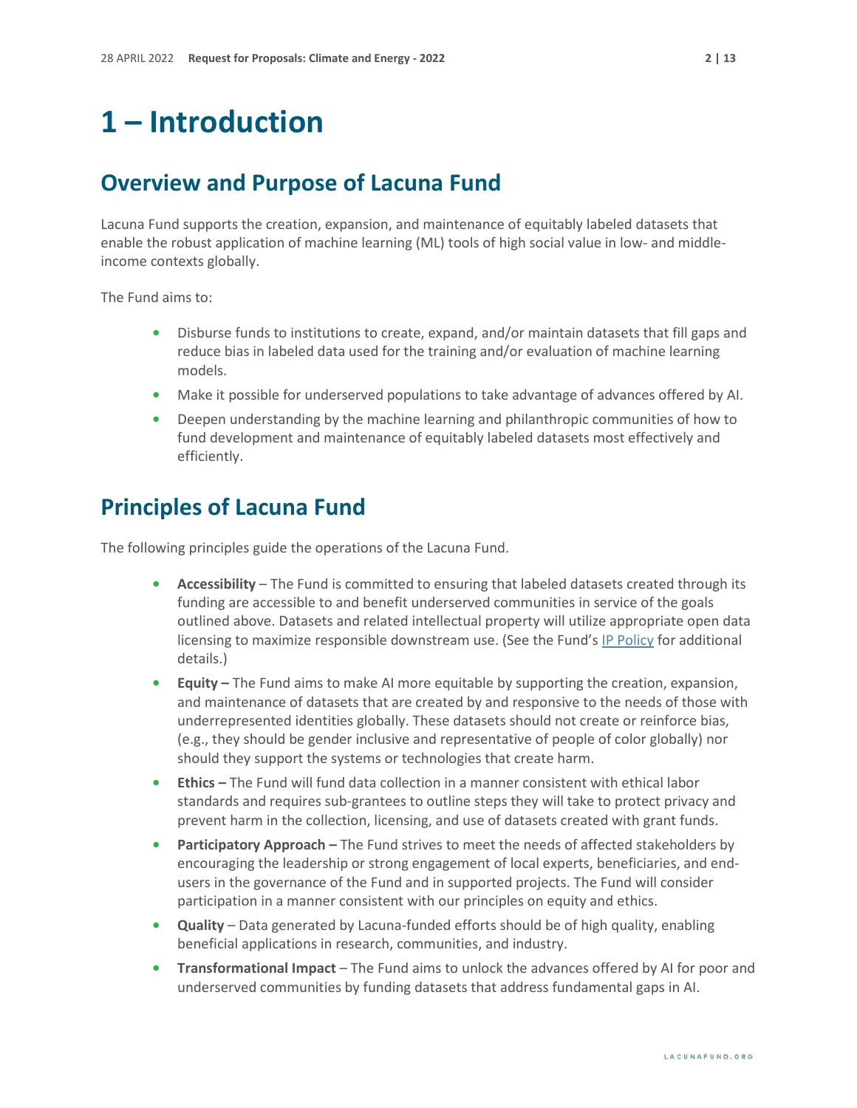### <span id="page-1-0"></span>**1 – Introduction**

#### <span id="page-1-1"></span>**Overview and Purpose of Lacuna Fund**

Lacuna Fund supports the creation, expansion, and maintenance of equitably labeled datasets that enable the robust application of machine learning (ML) tools of high social value in low- and middleincome contexts globally.

The Fund aims to:

- **•** Disburse funds to institutions to create, expand, and/or maintain datasets that fill gaps and reduce bias in labeled data used for the training and/or evaluation of machine learning models.
- **•** Make it possible for underserved populations to take advantage of advances offered by AI.
- **•** Deepen understanding by the machine learning and philanthropic communities of how to fund development and maintenance of equitably labeled datasets most effectively and efficiently.

#### <span id="page-1-2"></span>**Principles of Lacuna Fund**

The following principles guide the operations of the Lacuna Fund.

- **• Accessibility** The Fund is committed to ensuring that labeled datasets created through its funding are accessible to and benefit underserved communities in service of the goals outlined above. Datasets and related intellectual property will utilize appropriate open data licensing to maximize responsible downstream use. (See the Fund's [IP Policy](https://lacunafund.org/governance/#policies) for additional details.)
- **• Equity** The Fund aims to make AI more equitable by supporting the creation, expansion, and maintenance of datasets that are created by and responsive to the needs of those with underrepresented identities globally. These datasets should not create or reinforce bias, (e.g., they should be gender inclusive and representative of people of color globally) nor should they support the systems or technologies that create harm.
- **• Ethics** The Fund will fund data collection in a manner consistent with ethical labor standards and requires sub-grantees to outline steps they will take to protect privacy and prevent harm in the collection, licensing, and use of datasets created with grant funds.
- **Participatory Approach** The Fund strives to meet the needs of affected stakeholders by encouraging the leadership or strong engagement of local experts, beneficiaries, and endusers in the governance of the Fund and in supported projects. The Fund will consider participation in a manner consistent with our principles on equity and ethics.
- **• Quality** Data generated by Lacuna-funded efforts should be of high quality, enabling beneficial applications in research, communities, and industry.
- **• Transformational Impact** The Fund aims to unlock the advances offered by AI for poor and underserved communities by funding datasets that address fundamental gaps in AI.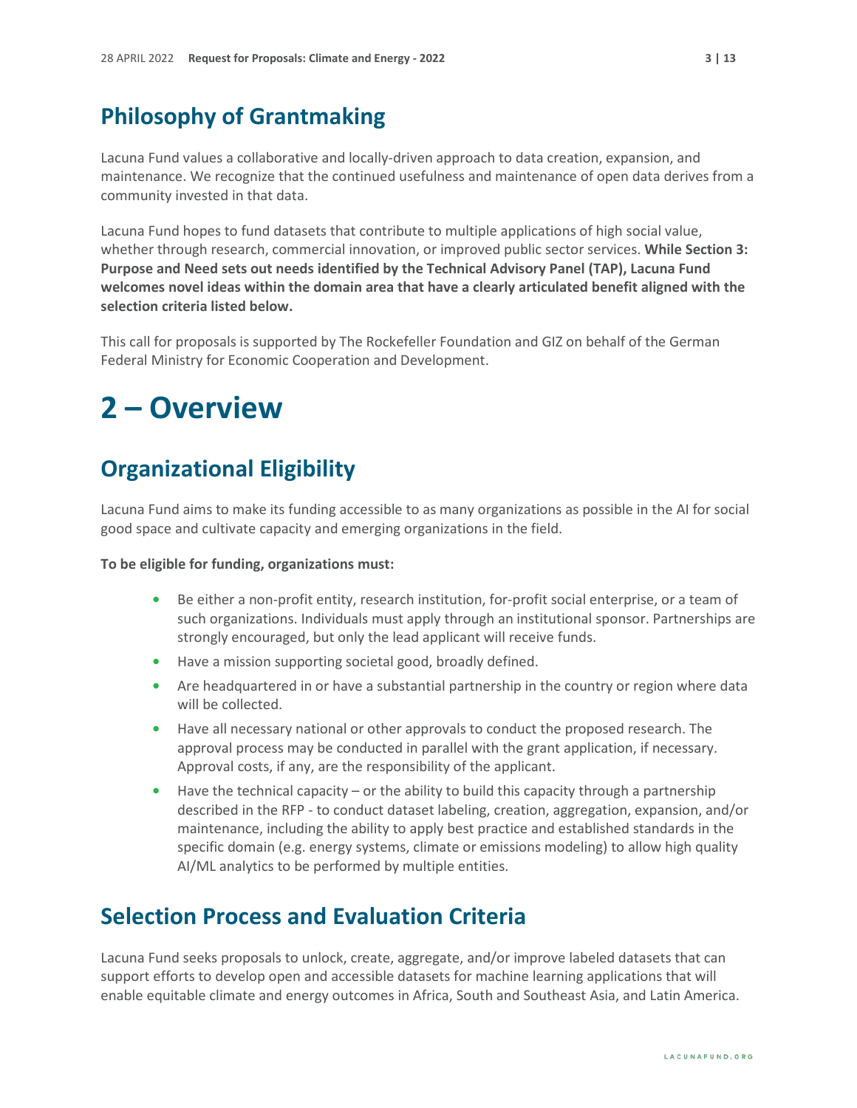#### <span id="page-2-0"></span>**Philosophy of Grantmaking**

Lacuna Fund values a collaborative and locally-driven approach to data creation, expansion, and maintenance. We recognize that the continued usefulness and maintenance of open data derives from a community invested in that data.

Lacuna Fund hopes to fund datasets that contribute to multiple applications of high social value, whether through research, commercial innovation, or improved public sector services. **While Section 3: Purpose and Need sets out needs identified by the Technical Advisory Panel (TAP), Lacuna Fund welcomes novel ideas within the domain area that have a clearly articulated benefit aligned with the selection criteria listed below.**

This call for proposals is supported by The Rockefeller Foundation and GIZ on behalf of the German Federal Ministry for Economic Cooperation and Development.

### <span id="page-2-1"></span>**2 – Overview**

#### <span id="page-2-2"></span>**Organizational Eligibility**

Lacuna Fund aims to make its funding accessible to as many organizations as possible in the AI for social good space and cultivate capacity and emerging organizations in the field.

#### **To be eligible for funding, organizations must:**

- **•** Be either a non-profit entity, research institution, for-profit social enterprise, or a team of such organizations. Individuals must apply through an institutional sponsor. Partnerships are strongly encouraged, but only the lead applicant will receive funds.
- **•** Have a mission supporting societal good, broadly defined.
- **•** Are headquartered in or have a substantial partnership in the country or region where data will be collected.
- **•** Have all necessary national or other approvals to conduct the proposed research. The approval process may be conducted in parallel with the grant application, if necessary. Approval costs, if any, are the responsibility of the applicant.
- **•** Have the technical capacity or the ability to build this capacity through a partnership described in the RFP - to conduct dataset labeling, creation, aggregation, expansion, and/or maintenance, including the ability to apply best practice and established standards in the specific domain (e.g. energy systems, climate or emissions modeling) to allow high quality AI/ML analytics to be performed by multiple entities.

#### <span id="page-2-3"></span>**Selection Process and Evaluation Criteria**

Lacuna Fund seeks proposals to unlock, create, aggregate, and/or improve labeled datasets that can support efforts to develop open and accessible datasets for machine learning applications that will enable equitable climate and energy outcomes in Africa, South and Southeast Asia, and Latin America.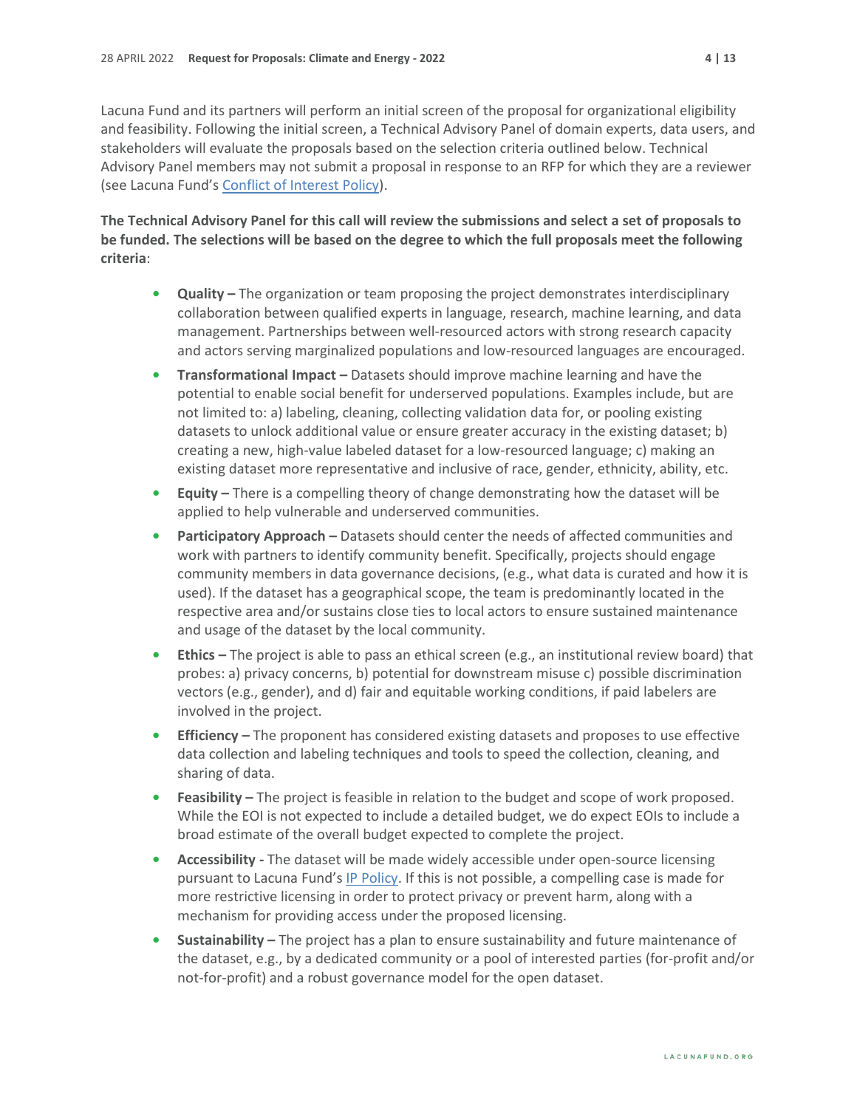Lacuna Fund and its partners will perform an initial screen of the proposal for organizational eligibility and feasibility. Following the initial screen, a Technical Advisory Panel of domain experts, data users, and stakeholders will evaluate the proposals based on the selection criteria outlined below. Technical Advisory Panel members may not submit a proposal in response to an RFP for which they are a reviewer (see Lacuna Fund's [Conflict of Interest Policy\)](https://lacunafund.org/governance/#policies).

#### **The Technical Advisory Panel for this call will review the submissions and select a set of proposals to be funded. The selections will be based on the degree to which the full proposals meet the following criteria**:

- **• Quality** The organization or team proposing the project demonstrates interdisciplinary collaboration between qualified experts in language, research, machine learning, and data management. Partnerships between well-resourced actors with strong research capacity and actors serving marginalized populations and low-resourced languages are encouraged.
- **• Transformational Impact** Datasets should improve machine learning and have the potential to enable social benefit for underserved populations. Examples include, but are not limited to: a) labeling, cleaning, collecting validation data for, or pooling existing datasets to unlock additional value or ensure greater accuracy in the existing dataset; b) creating a new, high-value labeled dataset for a low-resourced language; c) making an existing dataset more representative and inclusive of race, gender, ethnicity, ability, etc.
- **• Equity** There is a compelling theory of change demonstrating how the dataset will be applied to help vulnerable and underserved communities.
- **• Participatory Approach** Datasets should center the needs of affected communities and work with partners to identify community benefit. Specifically, projects should engage community members in data governance decisions, (e.g., what data is curated and how it is used). If the dataset has a geographical scope, the team is predominantly located in the respective area and/or sustains close ties to local actors to ensure sustained maintenance and usage of the dataset by the local community.
- **• Ethics** The project is able to pass an ethical screen (e.g., an institutional review board) that probes: a) privacy concerns, b) potential for downstream misuse c) possible discrimination vectors (e.g., gender), and d) fair and equitable working conditions, if paid labelers are involved in the project.
- **• Efficiency** The proponent has considered existing datasets and proposes to use effective data collection and labeling techniques and tools to speed the collection, cleaning, and sharing of data.
- **• Feasibility** The project is feasible in relation to the budget and scope of work proposed. While the EOI is not expected to include a detailed budget, we do expect EOIs to include a broad estimate of the overall budget expected to complete the project.
- **Accessibility** The dataset will be made widely accessible under open-source licensing pursuant to Lacuna Fund's [IP Policy.](https://lacunafund.org/governance/#policies) If this is not possible, a compelling case is made for more restrictive licensing in order to protect privacy or prevent harm, along with a mechanism for providing access under the proposed licensing.
- **• Sustainability** The project has a plan to ensure sustainability and future maintenance of the dataset, e.g., by a dedicated community or a pool of interested parties (for-profit and/or not-for-profit) and a robust governance model for the open dataset.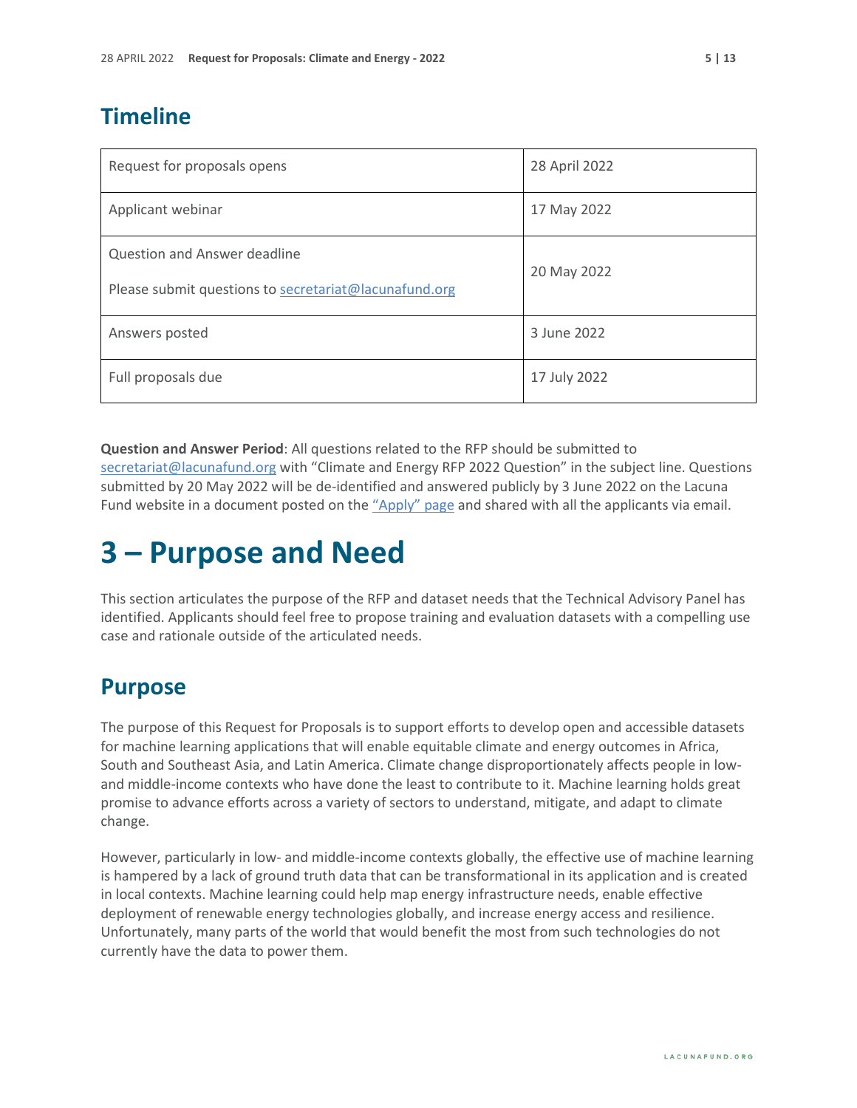### <span id="page-4-0"></span>**Timeline**

| Request for proposals opens                           | 28 April 2022 |
|-------------------------------------------------------|---------------|
| Applicant webinar                                     | 17 May 2022   |
| Question and Answer deadline                          | 20 May 2022   |
| Please submit questions to secretariat@lacunafund.org |               |
| Answers posted                                        | 3 June 2022   |
| Full proposals due                                    | 17 July 2022  |

**Question and Answer Period**: All questions related to the RFP should be submitted to [secretariat@lacunafund.org](mailto:lacuna@merid.org) with "Climate and Energy RFP 2022 Question" in the subject line. Questions submitted by 20 May 2022 will be de-identified and answered publicly by 3 June 2022 on the Lacuna Fund website in a document posted on the ["Apply" page](http://www.lacunafund.org/apply) and shared with all the applicants via email.

## <span id="page-4-1"></span>**3 – Purpose and Need**

This section articulates the purpose of the RFP and dataset needs that the Technical Advisory Panel has identified. Applicants should feel free to propose training and evaluation datasets with a compelling use case and rationale outside of the articulated needs.

#### <span id="page-4-2"></span>**Purpose**

The purpose of this Request for Proposals is to support efforts to develop open and accessible datasets for machine learning applications that will enable equitable climate and energy outcomes in Africa, South and Southeast Asia, and Latin America. Climate change disproportionately affects people in lowand middle-income contexts who have done the least to contribute to it. Machine learning holds great promise to advance efforts across a variety of sectors to understand, mitigate, and adapt to climate change.

However, particularly in low- and middle-income contexts globally, the effective use of machine learning is hampered by a lack of ground truth data that can be transformational in its application and is created in local contexts. Machine learning could help map energy infrastructure needs, enable effective deployment of renewable energy technologies globally, and increase energy access and resilience. Unfortunately, many parts of the world that would benefit the most from such technologies do not currently have the data to power them.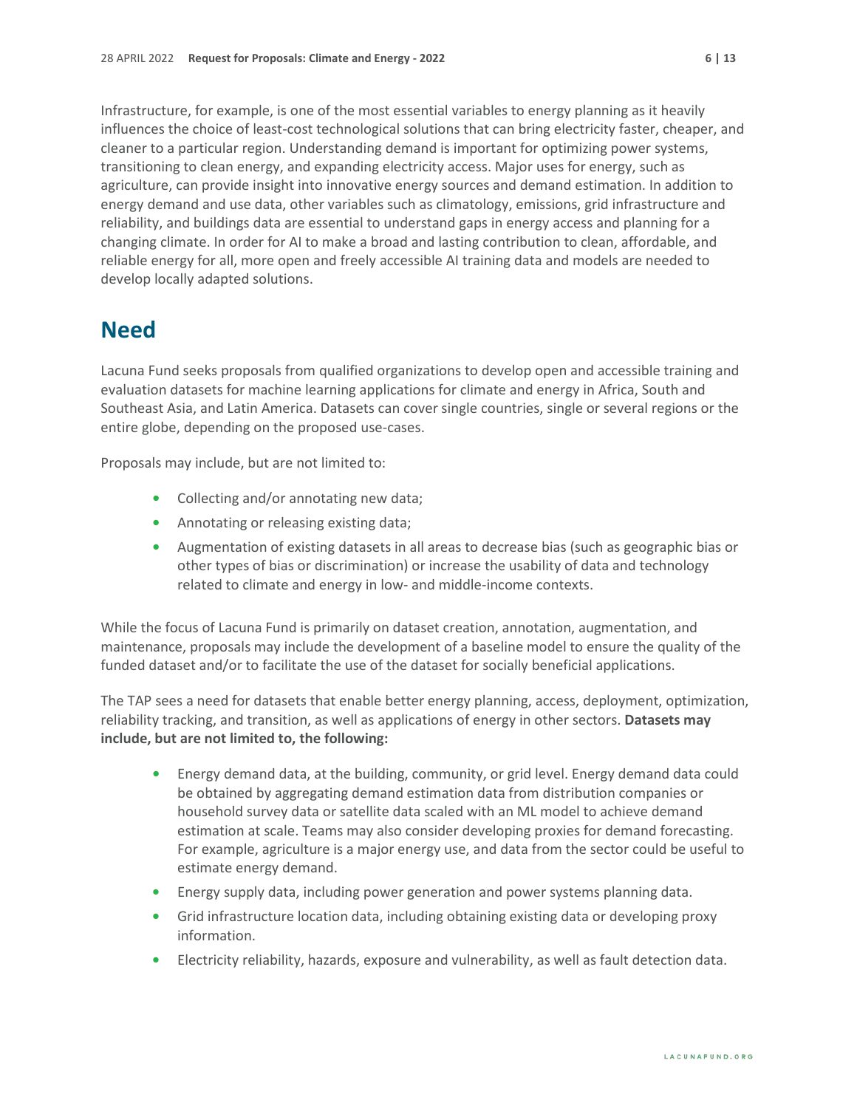Infrastructure, for example, is one of the most essential variables to energy planning as it heavily influences the choice of least-cost technological solutions that can bring electricity faster, cheaper, and cleaner to a particular region. Understanding demand is important for optimizing power systems, transitioning to clean energy, and expanding electricity access. Major uses for energy, such as agriculture, can provide insight into innovative energy sources and demand estimation. In addition to energy demand and use data, other variables such as climatology, emissions, grid infrastructure and reliability, and buildings data are essential to understand gaps in energy access and planning for a changing climate. In order for AI to make a broad and lasting contribution to clean, affordable, and reliable energy for all, more open and freely accessible AI training data and models are needed to develop locally adapted solutions.

#### <span id="page-5-0"></span>**Need**

Lacuna Fund seeks proposals from qualified organizations to develop open and accessible training and evaluation datasets for machine learning applications for climate and energy in Africa, South and Southeast Asia, and Latin America. Datasets can cover single countries, single or several regions or the entire globe, depending on the proposed use-cases.

Proposals may include, but are not limited to:

- **•** Collecting and/or annotating new data;
- **•** Annotating or releasing existing data;
- **•** Augmentation of existing datasets in all areas to decrease bias (such as geographic bias or other types of bias or discrimination) or increase the usability of data and technology related to climate and energy in low- and middle-income contexts.

While the focus of Lacuna Fund is primarily on dataset creation, annotation, augmentation, and maintenance, proposals may include the development of a baseline model to ensure the quality of the funded dataset and/or to facilitate the use of the dataset for socially beneficial applications.

The TAP sees a need for datasets that enable better energy planning, access, deployment, optimization, reliability tracking, and transition, as well as applications of energy in other sectors. **Datasets may include, but are not limited to, the following:**

- **•** Energy demand data, at the building, community, or grid level. Energy demand data could be obtained by aggregating demand estimation data from distribution companies or household survey data or satellite data scaled with an ML model to achieve demand estimation at scale. Teams may also consider developing proxies for demand forecasting. For example, agriculture is a major energy use, and data from the sector could be useful to estimate energy demand.
- **•** Energy supply data, including power generation and power systems planning data.
- **•** Grid infrastructure location data, including obtaining existing data or developing proxy information.
- **•** Electricity reliability, hazards, exposure and vulnerability, as well as fault detection data.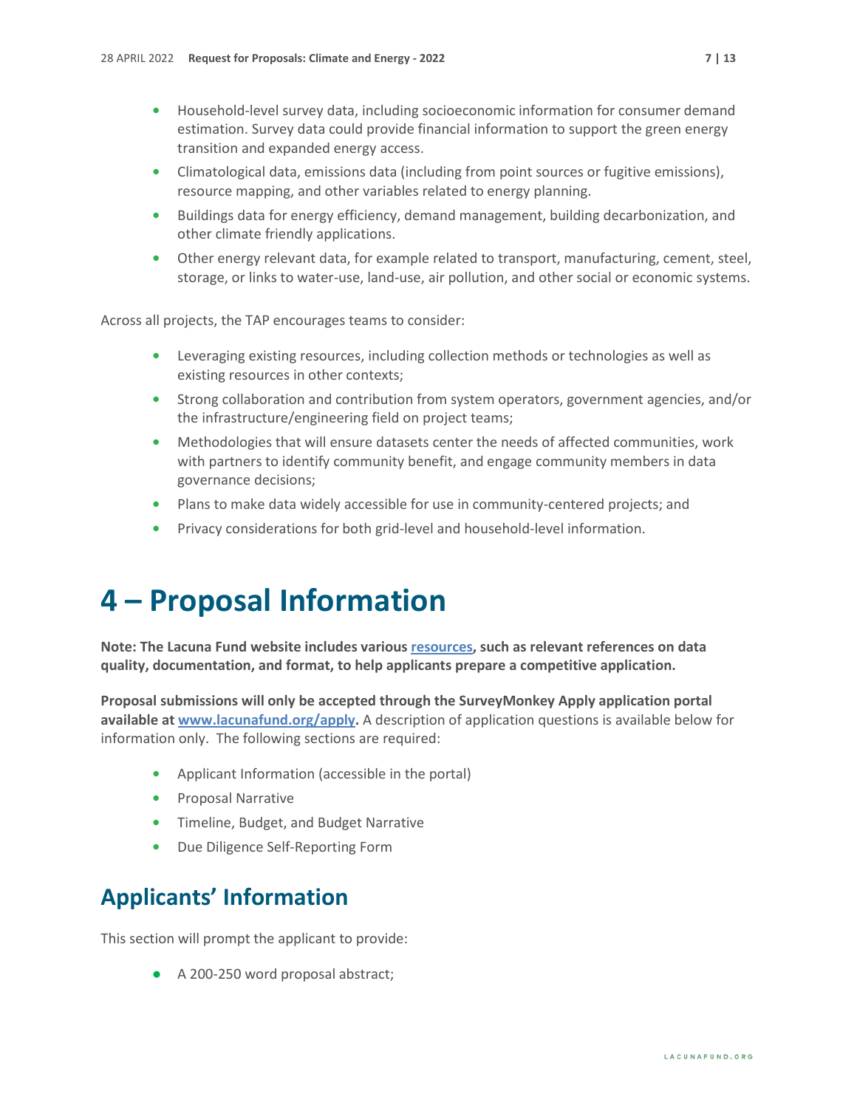- **•** Household-level survey data, including socioeconomic information for consumer demand estimation. Survey data could provide financial information to support the green energy transition and expanded energy access.
- **•** Climatological data, emissions data (including from point sources or fugitive emissions), resource mapping, and other variables related to energy planning.
- **•** Buildings data for energy efficiency, demand management, building decarbonization, and other climate friendly applications.
- **•** Other energy relevant data, for example related to transport, manufacturing, cement, steel, storage, or links to water-use, land-use, air pollution, and other social or economic systems.

Across all projects, the TAP encourages teams to consider:

- **•** Leveraging existing resources, including collection methods or technologies as well as existing resources in other contexts;
- **•** Strong collaboration and contribution from system operators, government agencies, and/or the infrastructure/engineering field on project teams;
- **•** Methodologies that will ensure datasets center the needs of affected communities, work with partners to identify community benefit, and engage community members in data governance decisions;
- **•** Plans to make data widely accessible for use in community-centered projects; and
- **•** Privacy considerations for both grid-level and household-level information.

### <span id="page-6-0"></span>**4 – Proposal Information**

**Note: The Lacuna Fund website includes variou[s resources,](https://lacunafund.org/resources/) such as relevant references on data quality, documentation, and format, to help applicants prepare a competitive application.**

**Proposal submissions will only be accepted through the SurveyMonkey Apply application portal available at [www.lacunafund.org/apply.](http://www.lacunafund.org/apply)** A description of application questions is available below for information only. The following sections are required:

- **•** Applicant Information (accessible in the portal)
- **•** Proposal Narrative
- **•** Timeline, Budget, and Budget Narrative
- **•** Due Diligence Self-Reporting Form

### <span id="page-6-1"></span>**Applicants' Information**

This section will prompt the applicant to provide:

**●** A 200-250 word proposal abstract;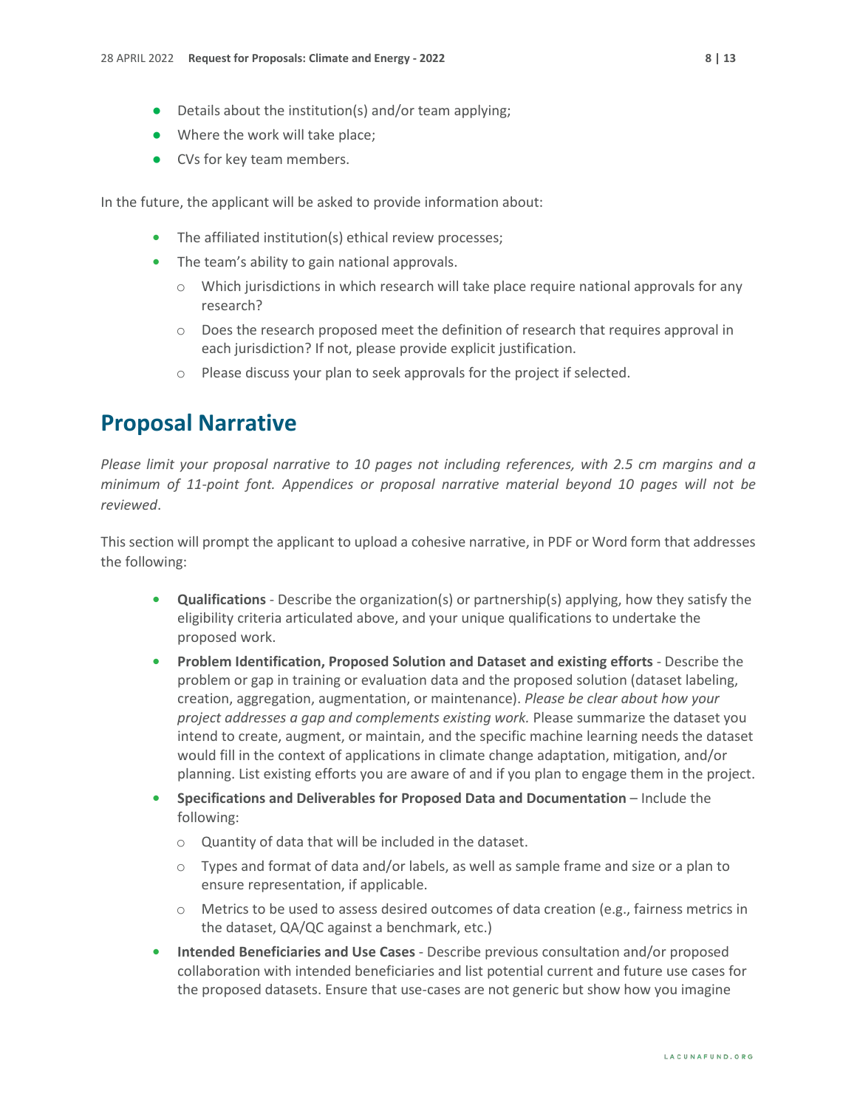- **●** Where the work will take place;
- **●** CVs for key team members.

In the future, the applicant will be asked to provide information about:

- **•** The affiliated institution(s) ethical review processes;
- **•** The team's ability to gain national approvals.
	- $\circ$  Which jurisdictions in which research will take place require national approvals for any research?
	- o Does the research proposed meet the definition of research that requires approval in each jurisdiction? If not, please provide explicit justification.
	- o Please discuss your plan to seek approvals for the project if selected.

#### <span id="page-7-0"></span>**Proposal Narrative**

*Please limit your proposal narrative to 10 pages not including references, with 2.5 cm margins and a minimum of 11-point font. Appendices or proposal narrative material beyond 10 pages will not be reviewed*.

This section will prompt the applicant to upload a cohesive narrative, in PDF or Word form that addresses the following:

- **• Qualifications** Describe the organization(s) or partnership(s) applying, how they satisfy the eligibility criteria articulated above, and your unique qualifications to undertake the proposed work.
- **• Problem Identification, Proposed Solution and Dataset and existing efforts** Describe the problem or gap in training or evaluation data and the proposed solution (dataset labeling, creation, aggregation, augmentation, or maintenance). *Please be clear about how your project addresses a gap and complements existing work.* Please summarize the dataset you intend to create, augment, or maintain, and the specific machine learning needs the dataset would fill in the context of applications in climate change adaptation, mitigation, and/or planning. List existing efforts you are aware of and if you plan to engage them in the project.
- **• Specifications and Deliverables for Proposed Data and Documentation** Include the following:
	- o Quantity of data that will be included in the dataset.
	- $\circ$  Types and format of data and/or labels, as well as sample frame and size or a plan to ensure representation, if applicable.
	- $\circ$  Metrics to be used to assess desired outcomes of data creation (e.g., fairness metrics in the dataset, QA/QC against a benchmark, etc.)
- **• Intended Beneficiaries and Use Cases** Describe previous consultation and/or proposed collaboration with intended beneficiaries and list potential current and future use cases for the proposed datasets. Ensure that use-cases are not generic but show how you imagine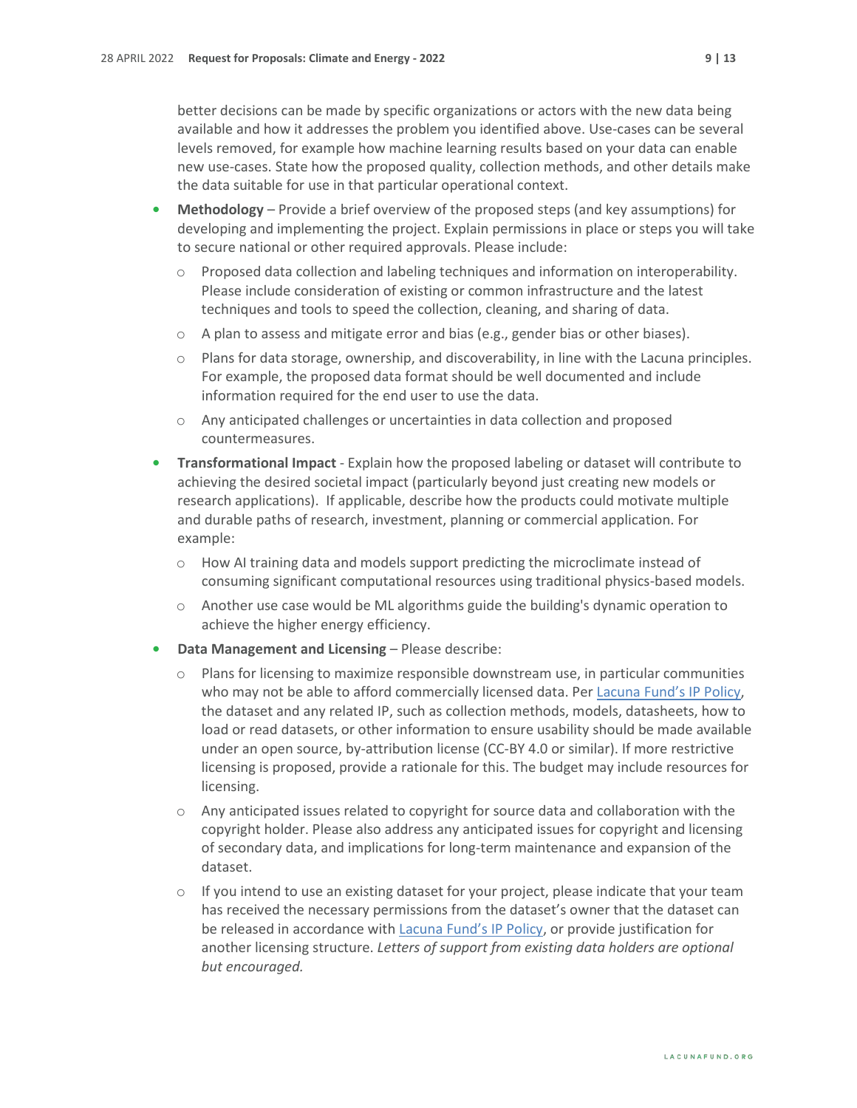better decisions can be made by specific organizations or actors with the new data being available and how it addresses the problem you identified above. Use-cases can be several levels removed, for example how machine learning results based on your data can enable new use-cases. State how the proposed quality, collection methods, and other details make the data suitable for use in that particular operational context.

- **• Methodology** Provide a brief overview of the proposed steps (and key assumptions) for developing and implementing the project. Explain permissions in place or steps you will take to secure national or other required approvals. Please include:
	- $\circ$  Proposed data collection and labeling techniques and information on interoperability. Please include consideration of existing or common infrastructure and the latest techniques and tools to speed the collection, cleaning, and sharing of data.
	- $\circ$  A plan to assess and mitigate error and bias (e.g., gender bias or other biases).
	- $\circ$  Plans for data storage, ownership, and discoverability, in line with the Lacuna principles. For example, the proposed data format should be well documented and include information required for the end user to use the data.
	- o Any anticipated challenges or uncertainties in data collection and proposed countermeasures.
- **• Transformational Impact** Explain how the proposed labeling or dataset will contribute to achieving the desired societal impact (particularly beyond just creating new models or research applications). If applicable, describe how the products could motivate multiple and durable paths of research, investment, planning or commercial application. For example:
	- $\circ$  How AI training data and models support predicting the microclimate instead of consuming significant computational resources using traditional physics-based models.
	- $\circ$  Another use case would be ML algorithms guide the building's dynamic operation to achieve the higher energy efficiency.
- **• Data Management and Licensing** Please describe:
	- $\circ$  Plans for licensing to maximize responsible downstream use, in particular communities who may not be able to afford commercially licensed data. Per [Lacuna Fund's IP Policy,](https://s31207.pcdn.co/wp-content/uploads/sites/11/2020/07/IP-Policy_LacunaFund.pdf) the dataset and any related IP, such as collection methods, models, datasheets, how to load or read datasets, or other information to ensure usability should be made available under an open source, by-attribution license (CC-BY 4.0 or similar). If more restrictive licensing is proposed, provide a rationale for this. The budget may include resources for licensing.
	- $\circ$  Any anticipated issues related to copyright for source data and collaboration with the copyright holder. Please also address any anticipated issues for copyright and licensing of secondary data, and implications for long-term maintenance and expansion of the dataset.
	- $\circ$  If you intend to use an existing dataset for your project, please indicate that your team has received the necessary permissions from the dataset's owner that the dataset can be released in accordance with **Lacuna Fund's IP Policy**, or provide justification for another licensing structure. *Letters of support from existing data holders are optional but encouraged.*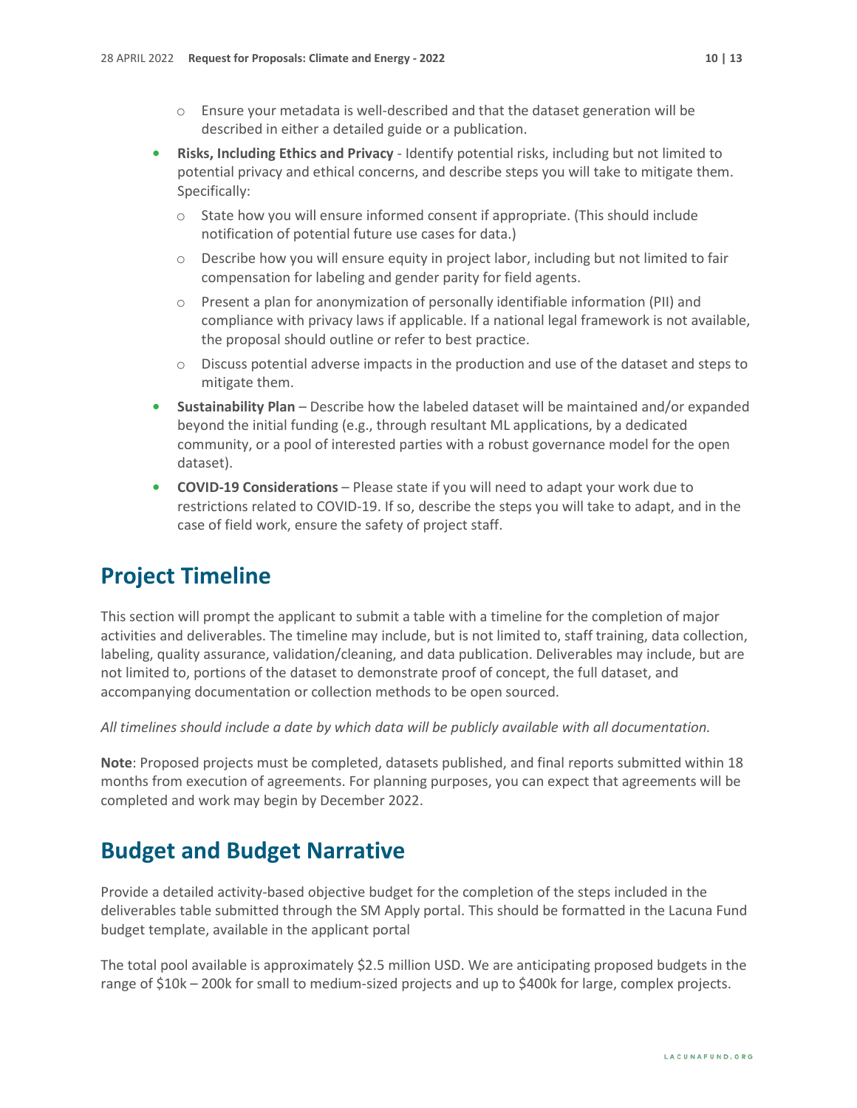- $\circ$  Ensure your metadata is well-described and that the dataset generation will be described in either a detailed guide or a publication.
- **• Risks, Including Ethics and Privacy** Identify potential risks, including but not limited to potential privacy and ethical concerns, and describe steps you will take to mitigate them. Specifically:
	- o State how you will ensure informed consent if appropriate. (This should include notification of potential future use cases for data.)
	- $\circ$  Describe how you will ensure equity in project labor, including but not limited to fair compensation for labeling and gender parity for field agents.
	- $\circ$  Present a plan for anonymization of personally identifiable information (PII) and compliance with privacy laws if applicable. If a national legal framework is not available, the proposal should outline or refer to best practice.
	- $\circ$  Discuss potential adverse impacts in the production and use of the dataset and steps to mitigate them.
- **• Sustainability Plan** Describe how the labeled dataset will be maintained and/or expanded beyond the initial funding (e.g., through resultant ML applications, by a dedicated community, or a pool of interested parties with a robust governance model for the open dataset).
- **• COVID-19 Considerations** Please state if you will need to adapt your work due to restrictions related to COVID-19. If so, describe the steps you will take to adapt, and in the case of field work, ensure the safety of project staff.

#### <span id="page-9-0"></span>**Project Timeline**

This section will prompt the applicant to submit a table with a timeline for the completion of major activities and deliverables. The timeline may include, but is not limited to, staff training, data collection, labeling, quality assurance, validation/cleaning, and data publication. Deliverables may include, but are not limited to, portions of the dataset to demonstrate proof of concept, the full dataset, and accompanying documentation or collection methods to be open sourced.

*All timelines should include a date by which data will be publicly available with all documentation.*

**Note**: Proposed projects must be completed, datasets published, and final reports submitted within 18 months from execution of agreements. For planning purposes, you can expect that agreements will be completed and work may begin by December 2022.

#### <span id="page-9-1"></span>**Budget and Budget Narrative**

Provide a detailed activity-based objective budget for the completion of the steps included in the deliverables table submitted through the SM Apply portal. This should be formatted in the Lacuna Fund budget template, available in the applicant portal

The total pool available is approximately \$2.5 million USD. We are anticipating proposed budgets in the range of \$10k – 200k for small to medium-sized projects and up to \$400k for large, complex projects.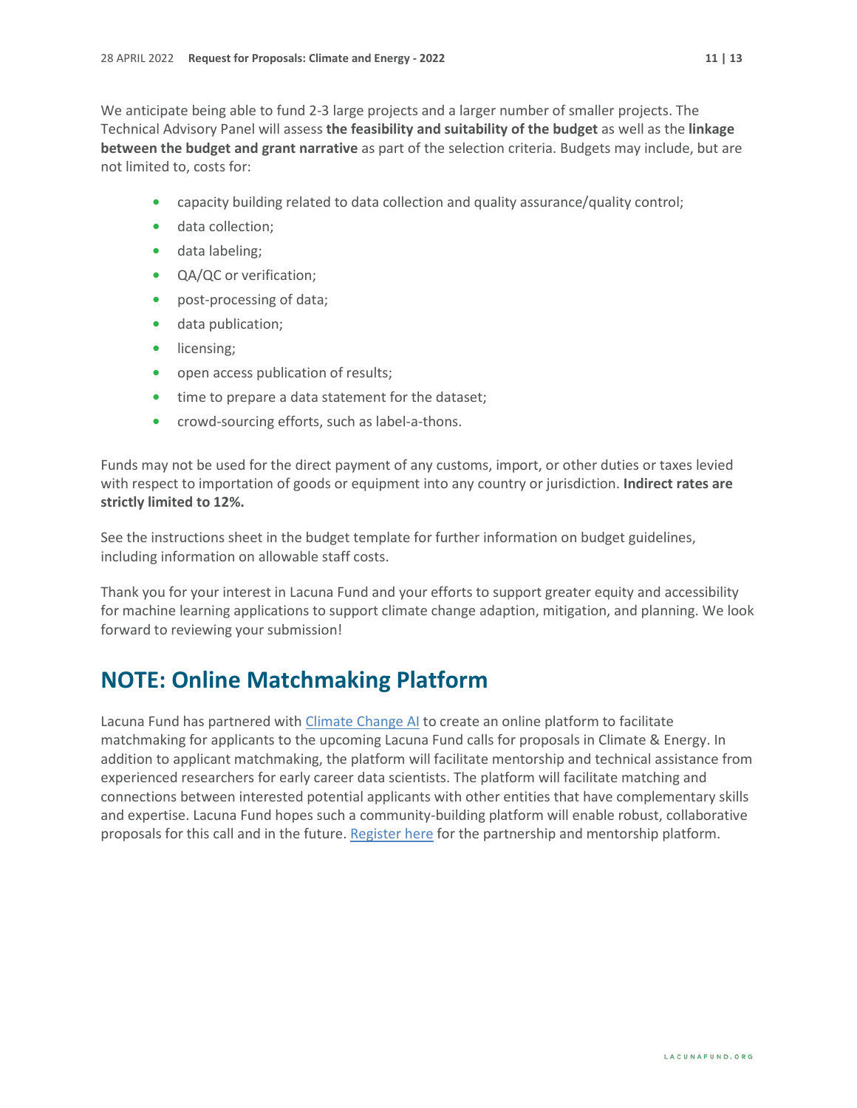We anticipate being able to fund 2-3 large projects and a larger number of smaller projects. The Technical Advisory Panel will assess **the feasibility and suitability of the budget** as well as the **linkage between the budget and grant narrative** as part of the selection criteria. Budgets may include, but are not limited to, costs for:

- **•** capacity building related to data collection and quality assurance/quality control;
- **•** data collection;
- **•** data labeling;
- **•** QA/QC or verification;
- **•** post-processing of data;
- **•** data publication;
- **•** licensing;
- **•** open access publication of results;
- **•** time to prepare a data statement for the dataset;
- **•** crowd-sourcing efforts, such as label-a-thons.

Funds may not be used for the direct payment of any customs, import, or other duties or taxes levied with respect to importation of goods or equipment into any country or jurisdiction. **Indirect rates are strictly limited to 12%.**

See the instructions sheet in the budget template for further information on budget guidelines, including information on allowable staff costs.

Thank you for your interest in Lacuna Fund and your efforts to support greater equity and accessibility for machine learning applications to support climate change adaption, mitigation, and planning. We look forward to reviewing your submission!

#### **NOTE: Online Matchmaking Platform**

Lacuna Fund has partnered with [Climate Change AI](https://climatechange.ai/) to create an online platform to facilitate matchmaking for applicants to the upcoming Lacuna Fund calls for proposals in Climate & Energy. In addition to applicant matchmaking, the platform will facilitate mentorship and technical assistance from experienced researchers for early career data scientists. The platform will facilitate matching and connections between interested potential applicants with other entities that have complementary skills and expertise. Lacuna Fund hopes such a community-building platform will enable robust, collaborative proposals for this call and in the future. [Register](https://www.climatechange.ai/calls/lacuna) here for the partnership and mentorship platform.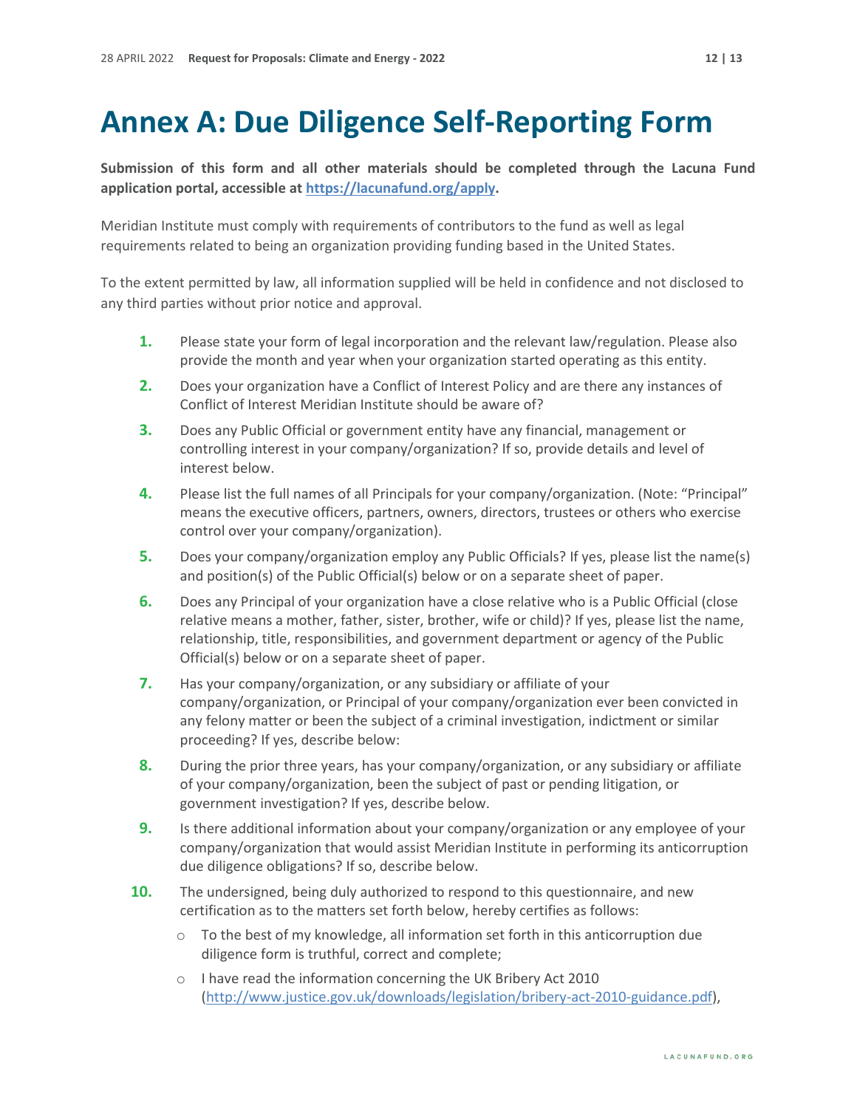### <span id="page-11-0"></span>**Annex A: Due Diligence Self-Reporting Form**

**Submission of this form and all other materials should be completed through the Lacuna Fund application portal, accessible a[t https://lacunafund.org/apply.](https://lacunafund.org/apply)** 

Meridian Institute must comply with requirements of contributors to the fund as well as legal requirements related to being an organization providing funding based in the United States.

To the extent permitted by law, all information supplied will be held in confidence and not disclosed to any third parties without prior notice and approval.

- **1.** Please state your form of legal incorporation and the relevant law/regulation. Please also provide the month and year when your organization started operating as this entity.
- **2.** Does your organization have a Conflict of Interest Policy and are there any instances of Conflict of Interest Meridian Institute should be aware of?
- **3.** Does any Public Official or government entity have any financial, management or controlling interest in your company/organization? If so, provide details and level of interest below.
- **4.** Please list the full names of all Principals for your company/organization. (Note: "Principal" means the executive officers, partners, owners, directors, trustees or others who exercise control over your company/organization).
- **5.** Does your company/organization employ any Public Officials? If yes, please list the name(s) and position(s) of the Public Official(s) below or on a separate sheet of paper.
- **6.** Does any Principal of your organization have a close relative who is a Public Official (close relative means a mother, father, sister, brother, wife or child)? If yes, please list the name, relationship, title, responsibilities, and government department or agency of the Public Official(s) below or on a separate sheet of paper.
- **7.** Has your company/organization, or any subsidiary or affiliate of your company/organization, or Principal of your company/organization ever been convicted in any felony matter or been the subject of a criminal investigation, indictment or similar proceeding? If yes, describe below:
- **8.** During the prior three years, has your company/organization, or any subsidiary or affiliate of your company/organization, been the subject of past or pending litigation, or government investigation? If yes, describe below.
- **9.** Is there additional information about your company/organization or any employee of your company/organization that would assist Meridian Institute in performing its anticorruption due diligence obligations? If so, describe below.
- **10.** The undersigned, being duly authorized to respond to this questionnaire, and new certification as to the matters set forth below, hereby certifies as follows:
	- $\circ$  To the best of my knowledge, all information set forth in this anticorruption due diligence form is truthful, correct and complete;
	- o I have read the information concerning the UK Bribery Act 2010 [\(http://www.justice.gov.uk/downloads/legislation/bribery-act-2010-guidance.pdf\)](http://www.justice.gov.uk/downloads/legislation/bribery-act-2010-guidance.pdf),